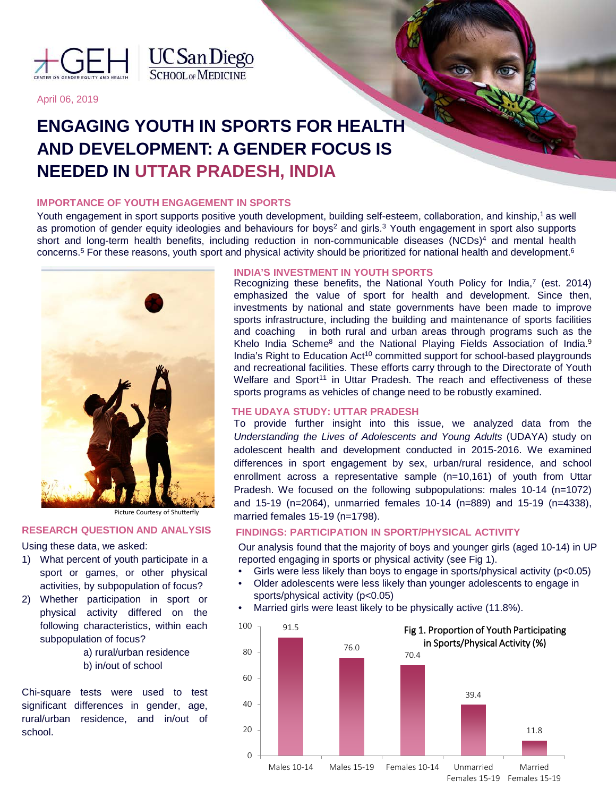



April 06, 2019

# **ENGAGING YOUTH IN SPORTS FOR HEALTH AND DEVELOPMENT: A GENDER FOCUS IS NEEDED IN UTTAR PRADESH, INDIA**

# **IMPORTANCE OF YOUTH ENGAGEMENT IN SPORTS**

Youth engagement in sport supports positive youth development, building self-esteem, collaboration, and kinship,<sup>1</sup> as well as promotion of gender equity ideologies and behaviours for boys<sup>2</sup> and girls.<sup>3</sup> Youth engagement in sport also supports short and long-term health benefits, including reduction in non-communicable diseases (NCDs)<sup>4</sup> and mental health concerns. <sup>5</sup> For these reasons, youth sport and physical activity should be prioritized for national health and development. 6



Picture Courtesy of Shutterfly

### **RESEARCH QUESTION AND ANALYSIS**

Using these data, we asked:

- 1) What percent of youth participate in a sport or games, or other physical activities, by subpopulation of focus?
- 2) Whether participation in sport or physical activity differed on the following characteristics, within each subpopulation of focus?
	- a) rural/urban residence b) in/out of school

Chi-square tests were used to test significant differences in gender, age, rural/urban residence, and in/out of school.

## **INDIA'S INVESTMENT IN YOUTH SPORTS**

Recognizing these benefits, the National Youth Policy for India,<sup>7</sup> (est. 2014) emphasized the value of sport for health and development. Since then, investments by national and state governments have been made to improve sports infrastructure, including the building and maintenance of sports facilities and coaching in both rural and urban areas through programs such as the Khelo India Scheme<sup>8</sup> and the National Playing Fields Association of India.<sup>9</sup> India's Right to Education Act<sup>10</sup> committed support for school-based playgrounds and recreational facilities. These efforts carry through to the Directorate of Youth Welfare and Sport<sup>11</sup> in Uttar Pradesh. The reach and effectiveness of these sports programs as vehicles of change need to be robustly examined.

## **THE UDAYA STUDY: UTTAR PRADESH**

To provide further insight into this issue, we analyzed data from the *Understanding the Lives of Adolescents and Young Adults* (UDAYA) study on adolescent health and development conducted in 2015-2016. We examined differences in sport engagement by sex, urban/rural residence, and school enrollment across a representative sample (n=10,161) of youth from Uttar Pradesh. We focused on the following subpopulations: males 10-14 (n=1072) and 15-19 (n=2064), unmarried females 10-14 (n=889) and 15-19 (n=4338), married females 15-19 (n=1798).

## **FINDINGS: PARTICIPATION IN SPORT/PHYSICAL ACTIVITY**

Our analysis found that the majority of boys and younger girls (aged 10-14) in UP reported engaging in sports or physical activity (see Fig 1).

- Girls were less likely than boys to engage in sports/physical activity  $(p<0.05)$
- Older adolescents were less likely than younger adolescents to engage in sports/physical activity (p<0.05)
- Married girls were least likely to be physically active (11.8%).